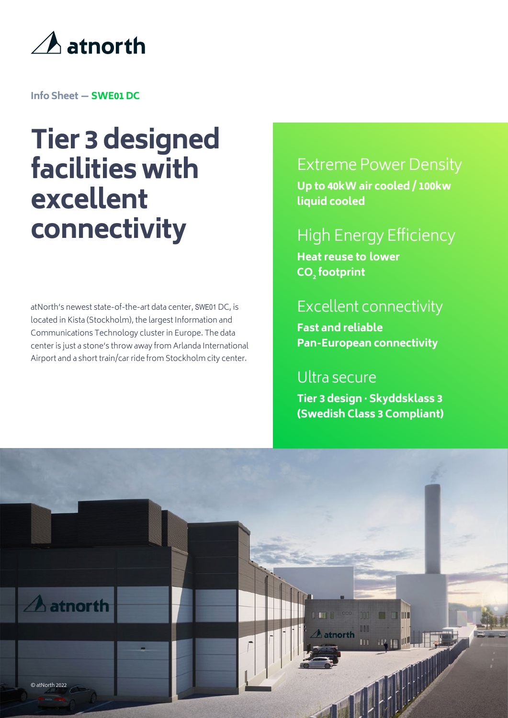

**Info Sheet — SWE01 DC**

# **Tier 3 designed facilities with excellent connectivity**

atNorth's newest state-of-the-art data center, SWE01 DC, is located in Kista (Stockholm), the largest Information and Communications Technology cluster in Europe. The data center is just a stone's throw away from Arlanda International Airport and a short train/car ride from Stockholm city center.

### Extreme Power Density

**Up to 40kW air cooled / 100kw liquid cooled**

# High Energy Efficiency

**Heat reuse to lower CO<sup>2</sup> footprint**

#### Excellent connectivity

**Fast and reliable Pan-European connectivity** 

#### Ultra secure

**Tier 3 design · Skyddsklass 3 (Swedish Class 3 Compliant)**